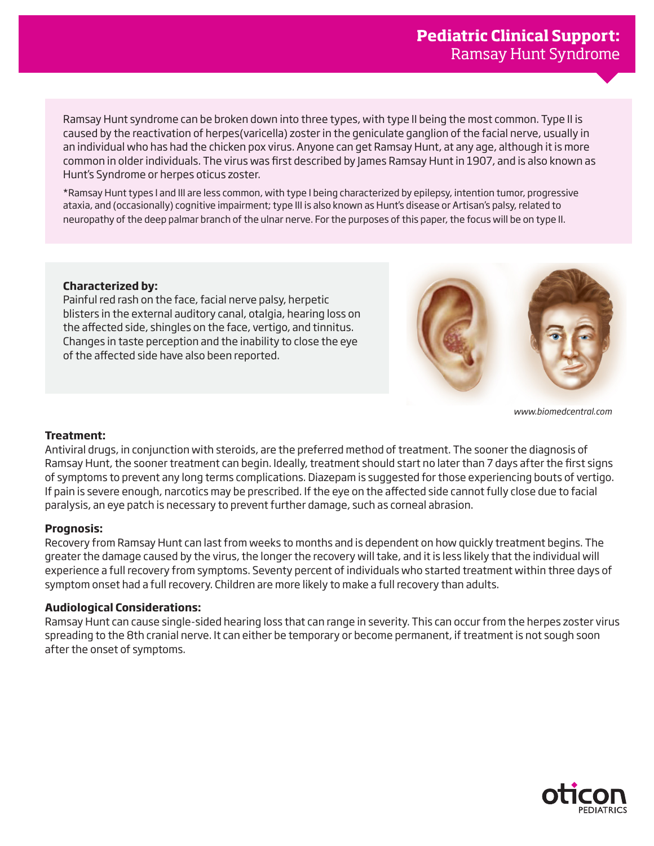Ramsay Hunt syndrome can be broken down into three types, with type II being the most common. Type II is caused by the reactivation of herpes(varicella) zoster in the geniculate ganglion of the facial nerve, usually in an individual who has had the chicken pox virus. Anyone can get Ramsay Hunt, at any age, although it is more common in older individuals. The virus was first described by James Ramsay Hunt in 1907, and is also known as Hunt's Syndrome or herpes oticus zoster.

\*Ramsay Hunt types I and III are less common, with type I being characterized by epilepsy, intention tumor, progressive ataxia, and (occasionally) cognitive impairment; type III is also known as Hunt's disease or Artisan's palsy, related to neuropathy of the deep palmar branch of the ulnar nerve. For the purposes of this paper, the focus will be on type II.

# **Characterized by:**

Painful red rash on the face, facial nerve palsy, herpetic blisters in the external auditory canal, otalgia, hearing loss on the affected side, shingles on the face, vertigo, and tinnitus. Changes in taste perception and the inability to close the eye of the affected side have also been reported.



*www.biomedcentral.com*

### **Treatment:**

Antiviral drugs, in conjunction with steroids, are the preferred method of treatment. The sooner the diagnosis of Ramsay Hunt, the sooner treatment can begin. Ideally, treatment should start no later than 7 days after the first signs of symptoms to prevent any long terms complications. Diazepam is suggested for those experiencing bouts of vertigo. If pain is severe enough, narcotics may be prescribed. If the eye on the affected side cannot fully close due to facial paralysis, an eye patch is necessary to prevent further damage, such as corneal abrasion.

### **Prognosis:**

Recovery from Ramsay Hunt can last from weeks to months and is dependent on how quickly treatment begins. The greater the damage caused by the virus, the longer the recovery will take, and it is less likely that the individual will experience a full recovery from symptoms. Seventy percent of individuals who started treatment within three days of symptom onset had a full recovery. Children are more likely to make a full recovery than adults.

### **Audiological Considerations:**

Ramsay Hunt can cause single-sided hearing loss that can range in severity. This can occur from the herpes zoster virus spreading to the 8th cranial nerve. It can either be temporary or become permanent, if treatment is not sough soon after the onset of symptoms.